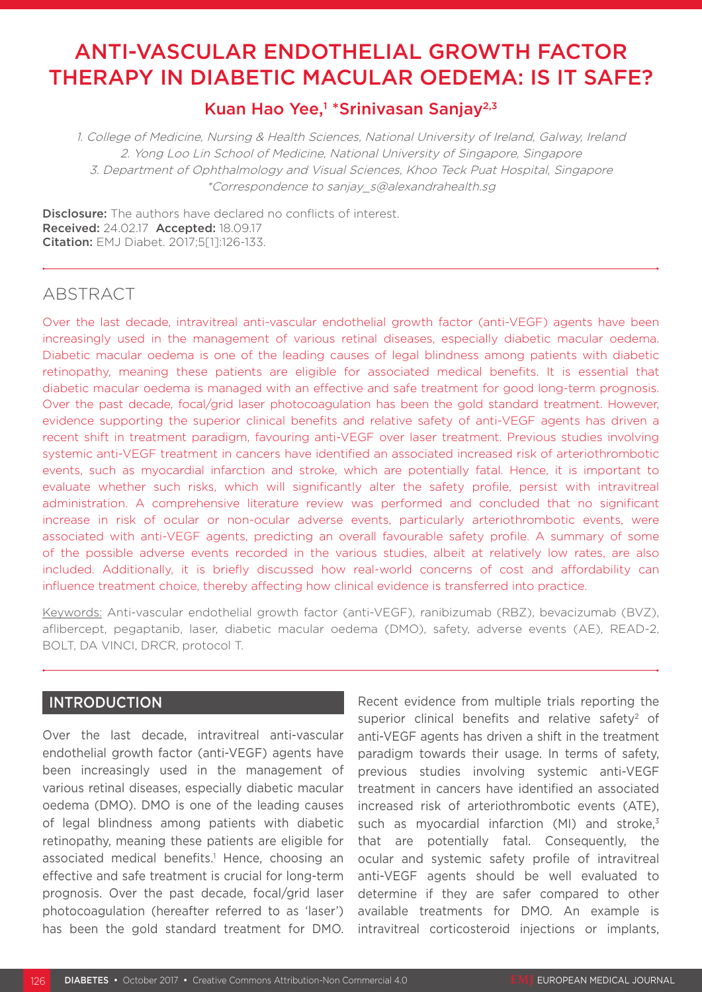# ANTI-VASCULAR ENDOTHELIAL GROWTH FACTOR THERAPY IN DIABETIC MACULAR OEDEMA: IS IT SAFE?

# Kuan Hao Yee,<sup>1</sup> \*Srinivasan Sanjay<sup>2,3</sup>

1. College of Medicine, Nursing & Health Sciences, National University of Ireland, Galway, Ireland 2. Yong Loo Lin School of Medicine, National University of Singapore, Singapore 3. Department of Ophthalmology and Visual Sciences, Khoo Teck Puat Hospital, Singapore \*Correspondence to sanjay\_s@alexandrahealth.sg

Disclosure: The authors have declared no conflicts of interest. Received: 24.02.17 Accepted: 18.09.17 Citation: EMJ Diabet. 2017;5[1]:126-133.

# ABSTRACT

Over the last decade, intravitreal anti-vascular endothelial growth factor (anti-VEGF) agents have been increasingly used in the management of various retinal diseases, especially diabetic macular oedema. Diabetic macular oedema is one of the leading causes of legal blindness among patients with diabetic retinopathy, meaning these patients are eligible for associated medical benefits. It is essential that diabetic macular oedema is managed with an effective and safe treatment for good long-term prognosis. Over the past decade, focal/grid laser photocoagulation has been the gold standard treatment. However, evidence supporting the superior clinical benefits and relative safety of anti-VEGF agents has driven a recent shift in treatment paradigm, favouring anti-VEGF over laser treatment. Previous studies involving systemic anti-VEGF treatment in cancers have identified an associated increased risk of arteriothrombotic events, such as myocardial infarction and stroke, which are potentially fatal. Hence, it is important to evaluate whether such risks, which will significantly alter the safety profile, persist with intravitreal administration. A comprehensive literature review was performed and concluded that no significant increase in risk of ocular or non-ocular adverse events, particularly arteriothrombotic events, were associated with anti-VEGF agents, predicting an overall favourable safety profile. A summary of some of the possible adverse events recorded in the various studies, albeit at relatively low rates, are also included. Additionally, it is briefly discussed how real-world concerns of cost and affordability can influence treatment choice, thereby affecting how clinical evidence is transferred into practice.

Keywords: Anti-vascular endothelial growth factor (anti-VEGF), ranibizumab (RBZ), bevacizumab (BVZ), aflibercept, pegaptanib, laser, diabetic macular oedema (DMO), safety, adverse events (AE), READ-2, BOLT, DA VINCI, DRCR, protocol T.

# INTRODUCTION

Over the last decade, intravitreal anti-vascular endothelial growth factor (anti-VEGF) agents have been increasingly used in the management of various retinal diseases, especially diabetic macular oedema (DMO). DMO is one of the leading causes of legal blindness among patients with diabetic retinopathy, meaning these patients are eligible for associated medical benefits.<sup>1</sup> Hence, choosing an effective and safe treatment is crucial for long-term prognosis. Over the past decade, focal/grid laser photocoagulation (hereafter referred to as 'laser') has been the gold standard treatment for DMO.

Recent evidence from multiple trials reporting the superior clinical benefits and relative safety<sup>2</sup> of anti-VEGF agents has driven a shift in the treatment paradigm towards their usage. In terms of safety, previous studies involving systemic anti-VEGF treatment in cancers have identified an associated increased risk of arteriothrombotic events (ATE), such as myocardial infarction (MI) and stroke, $3$ that are potentially fatal. Consequently, the ocular and systemic safety profile of intravitreal anti-VEGF agents should be well evaluated to determine if they are safer compared to other available treatments for DMO. An example is intravitreal corticosteroid injections or implants,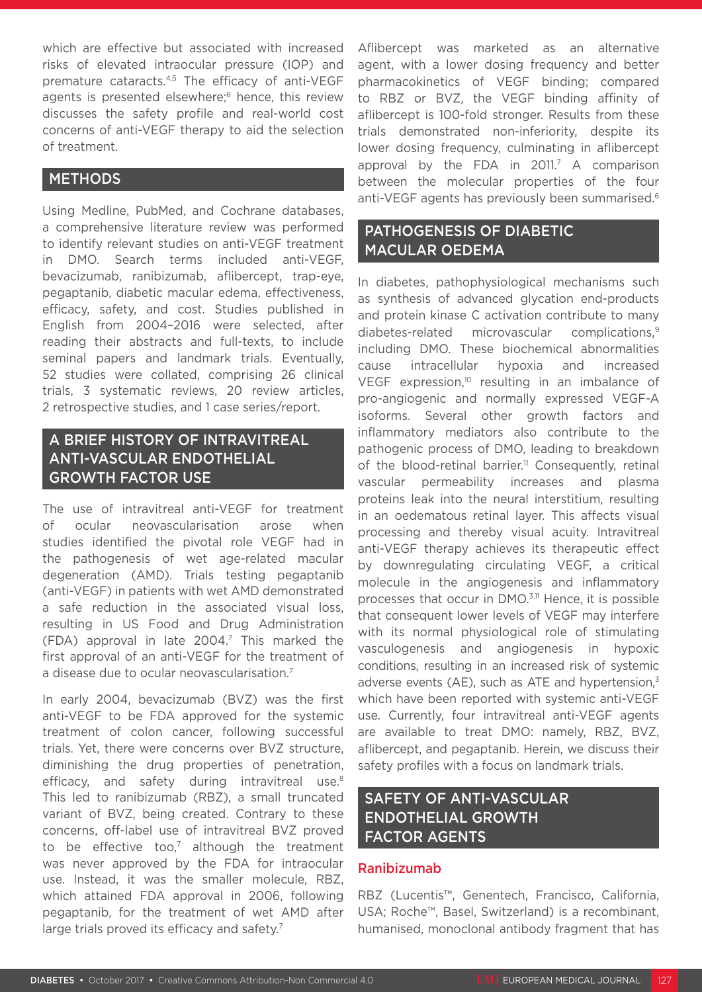which are effective but associated with increased risks of elevated intraocular pressure (IOP) and premature cataracts.4,5 The efficacy of anti-VEGF agents is presented elsewhere;<sup>6</sup> hence, this review discusses the safety profile and real-world cost concerns of anti-VEGF therapy to aid the selection of treatment.

# METHODS

Using Medline, PubMed, and Cochrane databases, a comprehensive literature review was performed to identify relevant studies on anti-VEGF treatment in DMO. Search terms included anti-VEGF, bevacizumab, ranibizumab, aflibercept, trap-eye, pegaptanib, diabetic macular edema, effectiveness, efficacy, safety, and cost. Studies published in English from 2004–2016 were selected, after reading their abstracts and full-texts, to include seminal papers and landmark trials. Eventually, 52 studies were collated, comprising 26 clinical trials, 3 systematic reviews, 20 review articles, 2 retrospective studies, and 1 case series/report.

# A BRIEF HISTORY OF INTRAVITREAL ANTI-VASCULAR ENDOTHELIAL GROWTH FACTOR USE

The use of intravitreal anti-VEGF for treatment of ocular neovascularisation arose when studies identified the pivotal role VEGF had in the pathogenesis of wet age-related macular degeneration (AMD). Trials testing pegaptanib (anti-VEGF) in patients with wet AMD demonstrated a safe reduction in the associated visual loss, resulting in US Food and Drug Administration  $(FDA)$  approval in late 2004.<sup>7</sup> This marked the first approval of an anti-VEGF for the treatment of a disease due to ocular neovascularisation.7

In early 2004, bevacizumab (BVZ) was the first anti-VEGF to be FDA approved for the systemic treatment of colon cancer, following successful trials. Yet, there were concerns over BVZ structure, diminishing the drug properties of penetration, efficacy, and safety during intravitreal use.<sup>8</sup> This led to ranibizumab (RBZ), a small truncated variant of BVZ, being created. Contrary to these concerns, off-label use of intravitreal BVZ proved to be effective too, $7$  although the treatment was never approved by the FDA for intraocular use. Instead, it was the smaller molecule, RBZ, which attained FDA approval in 2006, following pegaptanib, for the treatment of wet AMD after large trials proved its efficacy and safety.<sup>7</sup>

Aflibercept was marketed as an alternative agent, with a lower dosing frequency and better pharmacokinetics of VEGF binding; compared to RBZ or BVZ, the VEGF binding affinity of aflibercept is 100-fold stronger. Results from these trials demonstrated non-inferiority, despite its lower dosing frequency, culminating in aflibercept approval by the FDA in 2011.<sup>7</sup> A comparison between the molecular properties of the four anti-VEGF agents has previously been summarised.<sup>6</sup>

# PATHOGENESIS OF DIABETIC MACULAR OEDEMA

In diabetes, pathophysiological mechanisms such as synthesis of advanced glycation end-products and protein kinase C activation contribute to many diabetes-related microvascular complications,9 including DMO. These biochemical abnormalities cause intracellular hypoxia and increased VEGF expression,<sup>10</sup> resulting in an imbalance of pro-angiogenic and normally expressed VEGF-A isoforms. Several other growth factors and inflammatory mediators also contribute to the pathogenic process of DMO, leading to breakdown of the blood-retinal barrier.<sup>11</sup> Consequently, retinal vascular permeability increases and plasma proteins leak into the neural interstitium, resulting in an oedematous retinal layer. This affects visual processing and thereby visual acuity. Intravitreal anti-VEGF therapy achieves its therapeutic effect by downregulating circulating VEGF, a critical molecule in the angiogenesis and inflammatory processes that occur in DMO.3,11 Hence, it is possible that consequent lower levels of VEGF may interfere with its normal physiological role of stimulating vasculogenesis and angiogenesis in hypoxic conditions, resulting in an increased risk of systemic adverse events (AE), such as ATE and hypertension, $3$ which have been reported with systemic anti-VEGF use. Currently, four intravitreal anti-VEGF agents are available to treat DMO: namely, RBZ, BVZ, aflibercept, and pegaptanib. Herein, we discuss their safety profiles with a focus on landmark trials.

# SAFETY OF ANTI-VASCULAR ENDOTHELIAL GROWTH FACTOR AGENTS

# Ranibizumab

RBZ (Lucentis™, Genentech, Francisco, California, USA; Roche™, Basel, Switzerland) is a recombinant, humanised, monoclonal antibody fragment that has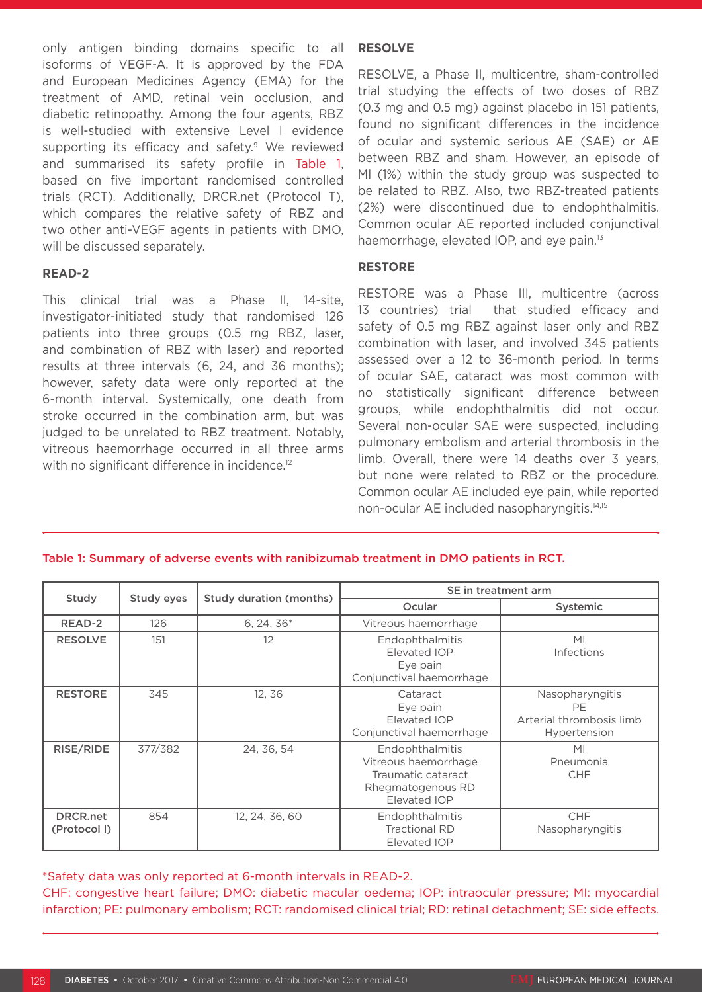only antigen binding domains specific to all isoforms of VEGF-A. It is approved by the FDA and European Medicines Agency (EMA) for the treatment of AMD, retinal vein occlusion, and diabetic retinopathy. Among the four agents, RBZ is well-studied with extensive Level I evidence supporting its efficacy and safety.<sup>9</sup> We reviewed and summarised its safety profile in Table 1, based on five important randomised controlled trials (RCT). Additionally, DRCR.net (Protocol T), which compares the relative safety of RBZ and two other anti-VEGF agents in patients with DMO, will be discussed separately.

#### **READ-2**

This clinical trial was a Phase II, 14-site, investigator-initiated study that randomised 126 patients into three groups (0.5 mg RBZ, laser, and combination of RBZ with laser) and reported results at three intervals (6, 24, and 36 months); however, safety data were only reported at the 6-month interval. Systemically, one death from stroke occurred in the combination arm, but was judged to be unrelated to RBZ treatment. Notably, vitreous haemorrhage occurred in all three arms with no significant difference in incidence.<sup>12</sup>

#### **RESOLVE**

RESOLVE, a Phase II, multicentre, sham-controlled trial studying the effects of two doses of RBZ (0.3 mg and 0.5 mg) against placebo in 151 patients, found no significant differences in the incidence of ocular and systemic serious AE (SAE) or AE between RBZ and sham. However, an episode of MI (1%) within the study group was suspected to be related to RBZ. Also, two RBZ-treated patients (2%) were discontinued due to endophthalmitis. Common ocular AE reported included conjunctival haemorrhage, elevated IOP, and eye pain.<sup>13</sup>

#### **RESTORE**

RESTORE was a Phase III, multicentre (across 13 countries) trial that studied efficacy and safety of 0.5 mg RBZ against laser only and RBZ combination with laser, and involved 345 patients assessed over a 12 to 36-month period. In terms of ocular SAE, cataract was most common with no statistically significant difference between groups, while endophthalmitis did not occur. Several non-ocular SAE were suspected, including pulmonary embolism and arterial thrombosis in the limb. Overall, there were 14 deaths over 3 years, but none were related to RBZ or the procedure. Common ocular AE included eye pain, while reported non-ocular AE included nasopharyngitis.14,15

#### Table 1: Summary of adverse events with ranibizumab treatment in DMO patients in RCT.

| Study                           | Study eyes | <b>Study duration (months)</b> | SE in treatment arm                                                                                                                             |                                                                    |  |
|---------------------------------|------------|--------------------------------|-------------------------------------------------------------------------------------------------------------------------------------------------|--------------------------------------------------------------------|--|
|                                 |            |                                | Ocular                                                                                                                                          | <b>Systemic</b>                                                    |  |
| READ-2                          | 126        | $6, 24, 36*$                   | Vitreous haemorrhage                                                                                                                            |                                                                    |  |
| <b>RESOLVE</b>                  | 151        | 12                             | Endophthalmitis<br>Elevated IOP<br>Eye pain<br>Conjunctival haemorrhage                                                                         | M <sub>l</sub><br><b>Infections</b>                                |  |
| <b>RESTORE</b>                  | 345        | 12.36                          | Cataract<br>Eye pain<br>Elevated IOP<br>Conjunctival haemorrhage                                                                                | Nasopharyngitis<br>PF.<br>Arterial thrombosis limb<br>Hypertension |  |
| RISE/RIDE                       | 377/382    | 24, 36, 54                     | Endophthalmitis<br>M <sub>l</sub><br>Vitreous haemorrhage<br>Pneumonia<br>Traumatic cataract<br><b>CHF</b><br>Rhegmatogenous RD<br>Elevated IOP |                                                                    |  |
| <b>DRCR.net</b><br>(Protocol I) | 854        | 12, 24, 36, 60                 | Endophthalmitis<br><b>Tractional RD</b><br>Elevated IOP                                                                                         | <b>CHF</b><br>Nasopharyngitis                                      |  |

\*Safety data was only reported at 6-month intervals in READ-2.

CHF: congestive heart failure; DMO: diabetic macular oedema; IOP: intraocular pressure; MI: myocardial infarction; PE: pulmonary embolism; RCT: randomised clinical trial; RD: retinal detachment; SE: side effects.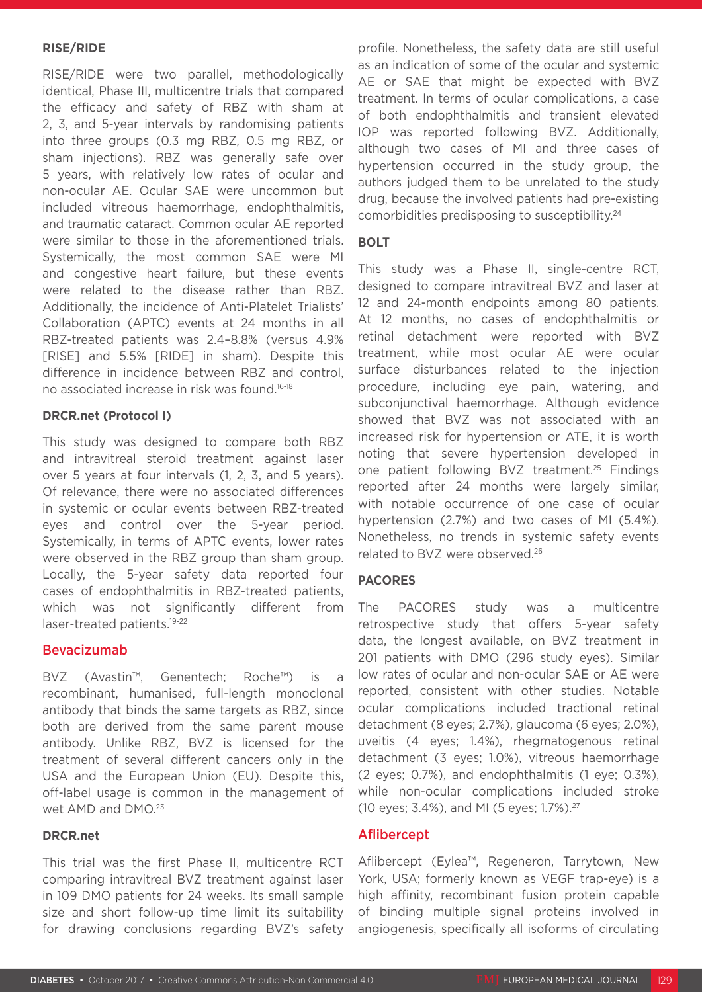### **RISE/RIDE**

RISE/RIDE were two parallel, methodologically identical, Phase III, multicentre trials that compared the efficacy and safety of RBZ with sham at 2, 3, and 5-year intervals by randomising patients into three groups (0.3 mg RBZ, 0.5 mg RBZ, or sham injections). RBZ was generally safe over 5 years, with relatively low rates of ocular and non-ocular AE. Ocular SAE were uncommon but included vitreous haemorrhage, endophthalmitis, and traumatic cataract. Common ocular AE reported were similar to those in the aforementioned trials. Systemically, the most common SAE were MI and congestive heart failure, but these events were related to the disease rather than RBZ. Additionally, the incidence of Anti-Platelet Trialists' Collaboration (APTC) events at 24 months in all RBZ-treated patients was 2.4–8.8% (versus 4.9% [RISE] and 5.5% [RIDE] in sham). Despite this difference in incidence between RBZ and control, no associated increase in risk was found.16-18

## **DRCR.net (Protocol I)**

This study was designed to compare both RBZ and intravitreal steroid treatment against laser over 5 years at four intervals (1, 2, 3, and 5 years). Of relevance, there were no associated differences in systemic or ocular events between RBZ-treated eyes and control over the 5-year period. Systemically, in terms of APTC events, lower rates were observed in the RBZ group than sham group. Locally, the 5-year safety data reported four cases of endophthalmitis in RBZ-treated patients, which was not significantly different from laser-treated patients.<sup>19-22</sup>

# Bevacizumab

BVZ (Avastin™, Genentech; Roche™) is recombinant, humanised, full-length monoclonal antibody that binds the same targets as RBZ, since both are derived from the same parent mouse antibody. Unlike RBZ, BVZ is licensed for the treatment of several different cancers only in the USA and the European Union (EU). Despite this, off-label usage is common in the management of wet AMD and DMO.<sup>23</sup>

#### **DRCR.net**

This trial was the first Phase II, multicentre RCT comparing intravitreal BVZ treatment against laser in 109 DMO patients for 24 weeks. Its small sample size and short follow-up time limit its suitability for drawing conclusions regarding BVZ's safety profile. Nonetheless, the safety data are still useful as an indication of some of the ocular and systemic AE or SAE that might be expected with BVZ treatment. In terms of ocular complications, a case of both endophthalmitis and transient elevated IOP was reported following BVZ. Additionally, although two cases of MI and three cases of hypertension occurred in the study group, the authors judged them to be unrelated to the study drug, because the involved patients had pre-existing comorbidities predisposing to susceptibility.24

#### **BOLT**

This study was a Phase II, single-centre RCT, designed to compare intravitreal BVZ and laser at 12 and 24-month endpoints among 80 patients. At 12 months, no cases of endophthalmitis or retinal detachment were reported with BVZ treatment, while most ocular AE were ocular surface disturbances related to the injection procedure, including eye pain, watering, and subconjunctival haemorrhage. Although evidence showed that BVZ was not associated with an increased risk for hypertension or ATE, it is worth noting that severe hypertension developed in one patient following BVZ treatment.25 Findings reported after 24 months were largely similar, with notable occurrence of one case of ocular hypertension (2.7%) and two cases of MI (5.4%). Nonetheless, no trends in systemic safety events related to BVZ were observed.26

# **PACORES**

The PACORES study was a multicentre retrospective study that offers 5-year safety data, the longest available, on BVZ treatment in 201 patients with DMO (296 study eyes). Similar low rates of ocular and non-ocular SAE or AE were reported, consistent with other studies. Notable ocular complications included tractional retinal detachment (8 eyes; 2.7%), glaucoma (6 eyes; 2.0%), uveitis (4 eyes; 1.4%), rhegmatogenous retinal detachment (3 eyes; 1.0%), vitreous haemorrhage (2 eyes; 0.7%), and endophthalmitis (1 eye; 0.3%), while non-ocular complications included stroke (10 eyes; 3.4%), and MI (5 eyes; 1.7%).27

# Aflibercept

Aflibercept (Eylea™, Regeneron, Tarrytown, New York, USA; formerly known as VEGF trap-eye) is a high affinity, recombinant fusion protein capable of binding multiple signal proteins involved in angiogenesis, specifically all isoforms of circulating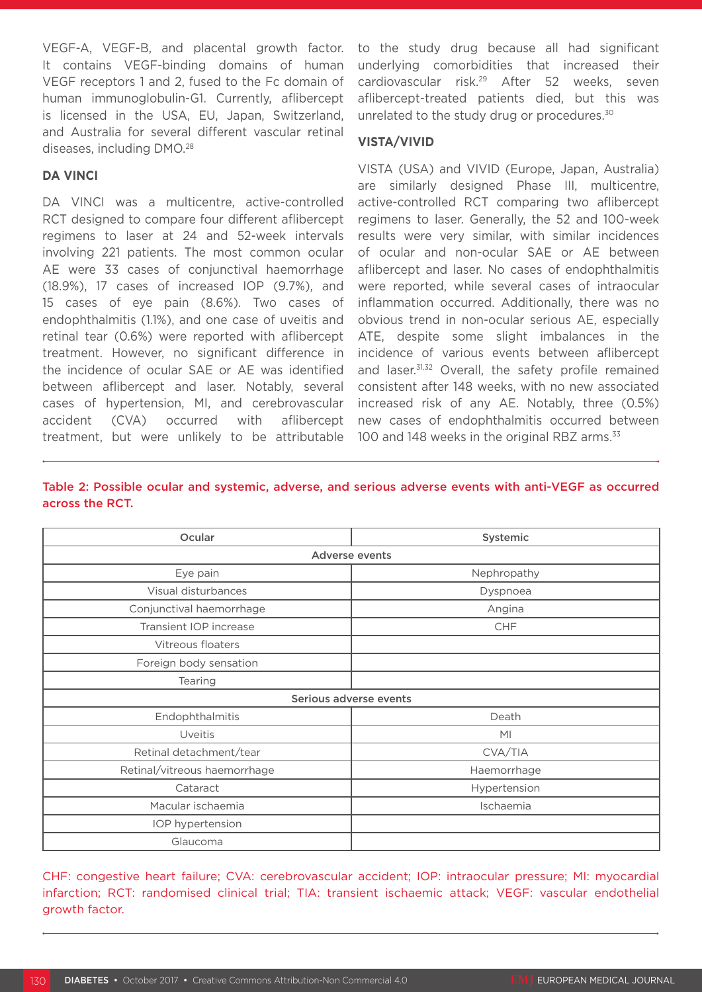VEGF-A, VEGF-B, and placental growth factor. It contains VEGF-binding domains of human VEGF receptors 1 and 2, fused to the Fc domain of human immunoglobulin-G1. Currently, aflibercept is licensed in the USA, EU, Japan, Switzerland, and Australia for several different vascular retinal diseases, including DMO.28

#### **DA VINCI**

DA VINCI was a multicentre, active-controlled RCT designed to compare four different aflibercept regimens to laser at 24 and 52-week intervals involving 221 patients. The most common ocular AE were 33 cases of conjunctival haemorrhage (18.9%), 17 cases of increased IOP (9.7%), and 15 cases of eye pain (8.6%). Two cases of endophthalmitis (1.1%), and one case of uveitis and retinal tear (0.6%) were reported with aflibercept treatment. However, no significant difference in the incidence of ocular SAE or AE was identified between aflibercept and laser. Notably, several cases of hypertension, MI, and cerebrovascular accident (CVA) occurred with aflibercept treatment, but were unlikely to be attributable

to the study drug because all had significant underlying comorbidities that increased their cardiovascular risk.29 After 52 weeks, seven aflibercept-treated patients died, but this was unrelated to the study drug or procedures.<sup>30</sup>

# **VISTA/VIVID**

VISTA (USA) and VIVID (Europe, Japan, Australia) are similarly designed Phase III, multicentre, active-controlled RCT comparing two aflibercept regimens to laser. Generally, the 52 and 100-week results were very similar, with similar incidences of ocular and non-ocular SAE or AE between aflibercept and laser. No cases of endophthalmitis were reported, while several cases of intraocular inflammation occurred. Additionally, there was no obvious trend in non-ocular serious AE, especially ATE, despite some slight imbalances in the incidence of various events between aflibercept and laser.<sup>31,32</sup> Overall, the safety profile remained consistent after 148 weeks, with no new associated increased risk of any AE. Notably, three (0.5%) new cases of endophthalmitis occurred between 100 and 148 weeks in the original RBZ arms.<sup>33</sup>

| Taple 2: Possible ocular and systemic, adverse, and serious adverse events with anti-vieti- as occurred |  |  |  |
|---------------------------------------------------------------------------------------------------------|--|--|--|
| across the RCT.                                                                                         |  |  |  |
|                                                                                                         |  |  |  |

Table 2: Possible ocular and systemic, adverse, and serious adverse events with anti-VEGF as occurred

| Ocular                       | Systemic       |  |  |  |  |
|------------------------------|----------------|--|--|--|--|
| Adverse events               |                |  |  |  |  |
| Eye pain                     | Nephropathy    |  |  |  |  |
| Visual disturbances          | Dyspnoea       |  |  |  |  |
| Conjunctival haemorrhage     | Angina         |  |  |  |  |
| Transient IOP increase       | CHF            |  |  |  |  |
| Vitreous floaters            |                |  |  |  |  |
| Foreign body sensation       |                |  |  |  |  |
| Tearing                      |                |  |  |  |  |
| Serious adverse events       |                |  |  |  |  |
| Endophthalmitis              | Death          |  |  |  |  |
| Uveitis                      | M <sub>l</sub> |  |  |  |  |
| Retinal detachment/tear      | CVA/TIA        |  |  |  |  |
| Retinal/vitreous haemorrhage | Haemorrhage    |  |  |  |  |
| Cataract                     | Hypertension   |  |  |  |  |
| Macular ischaemia            | Ischaemia      |  |  |  |  |
| IOP hypertension             |                |  |  |  |  |
| Glaucoma                     |                |  |  |  |  |

CHF: congestive heart failure; CVA: cerebrovascular accident; IOP: intraocular pressure; MI: myocardial infarction; RCT: randomised clinical trial; TIA: transient ischaemic attack; VEGF: vascular endothelial growth factor.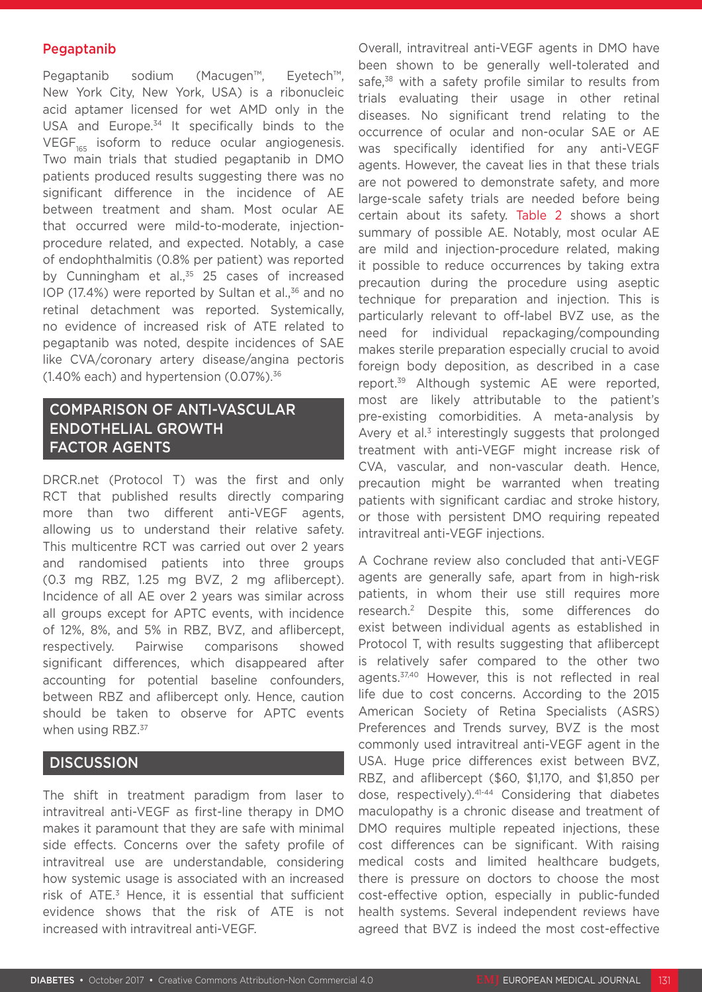## Pegaptanib

Pegaptanib sodium (Macugen™, Eyetech™, New York City, New York, USA) is a ribonucleic acid aptamer licensed for wet AMD only in the USA and Europe.<sup>34</sup> It specifically binds to the  $VEGF<sub>165</sub>$  isoform to reduce ocular angiogenesis. Two main trials that studied pegaptanib in DMO patients produced results suggesting there was no significant difference in the incidence of AE between treatment and sham. Most ocular AE that occurred were mild-to-moderate, injectionprocedure related, and expected. Notably, a case of endophthalmitis (0.8% per patient) was reported by Cunningham et al.,<sup>35</sup> 25 cases of increased IOP (17.4%) were reported by Sultan et al., $36$  and no retinal detachment was reported. Systemically, no evidence of increased risk of ATE related to pegaptanib was noted, despite incidences of SAE like CVA/coronary artery disease/angina pectoris  $(1.40\%$  each) and hypertension  $(0.07\%)$ .<sup>36</sup>

# COMPARISON OF ANTI-VASCULAR ENDOTHELIAL GROWTH FACTOR AGENTS

DRCR.net (Protocol T) was the first and only RCT that published results directly comparing more than two different anti-VEGF agents, allowing us to understand their relative safety. This multicentre RCT was carried out over 2 years and randomised patients into three groups (0.3 mg RBZ, 1.25 mg BVZ, 2 mg aflibercept). Incidence of all AE over 2 years was similar across all groups except for APTC events, with incidence of 12%, 8%, and 5% in RBZ, BVZ, and aflibercept, respectively. Pairwise comparisons showed significant differences, which disappeared after accounting for potential baseline confounders, between RBZ and aflibercept only. Hence, caution should be taken to observe for APTC events when using RBZ.<sup>37</sup>

# **DISCUSSION**

The shift in treatment paradigm from laser to intravitreal anti-VEGF as first-line therapy in DMO makes it paramount that they are safe with minimal side effects. Concerns over the safety profile of intravitreal use are understandable, considering how systemic usage is associated with an increased risk of ATE.3 Hence, it is essential that sufficient evidence shows that the risk of ATE is not increased with intravitreal anti-VEGF.

Overall, intravitreal anti-VEGF agents in DMO have been shown to be generally well-tolerated and safe,<sup>38</sup> with a safety profile similar to results from trials evaluating their usage in other retinal diseases. No significant trend relating to the occurrence of ocular and non-ocular SAE or AE was specifically identified for any anti-VEGF agents. However, the caveat lies in that these trials are not powered to demonstrate safety, and more large-scale safety trials are needed before being certain about its safety. Table 2 shows a short summary of possible AE. Notably, most ocular AE are mild and injection-procedure related, making it possible to reduce occurrences by taking extra precaution during the procedure using aseptic technique for preparation and injection. This is particularly relevant to off-label BVZ use, as the need for individual repackaging/compounding makes sterile preparation especially crucial to avoid foreign body deposition, as described in a case report.39 Although systemic AE were reported, most are likely attributable to the patient's pre-existing comorbidities. A meta-analysis by Avery et al. $3$  interestingly suggests that prolonged treatment with anti-VEGF might increase risk of CVA, vascular, and non-vascular death. Hence, precaution might be warranted when treating patients with significant cardiac and stroke history, or those with persistent DMO requiring repeated intravitreal anti-VEGF injections.

A Cochrane review also concluded that anti-VEGF agents are generally safe, apart from in high-risk patients, in whom their use still requires more research.2 Despite this, some differences do exist between individual agents as established in Protocol T, with results suggesting that aflibercept is relatively safer compared to the other two agents.37,40 However, this is not reflected in real life due to cost concerns. According to the 2015 American Society of Retina Specialists (ASRS) Preferences and Trends survey, BVZ is the most commonly used intravitreal anti-VEGF agent in the USA. Huge price differences exist between BVZ, RBZ, and aflibercept (\$60, \$1,170, and \$1,850 per dose, respectively).41-44 Considering that diabetes maculopathy is a chronic disease and treatment of DMO requires multiple repeated injections, these cost differences can be significant. With raising medical costs and limited healthcare budgets, there is pressure on doctors to choose the most cost-effective option, especially in public-funded health systems. Several independent reviews have agreed that BVZ is indeed the most cost-effective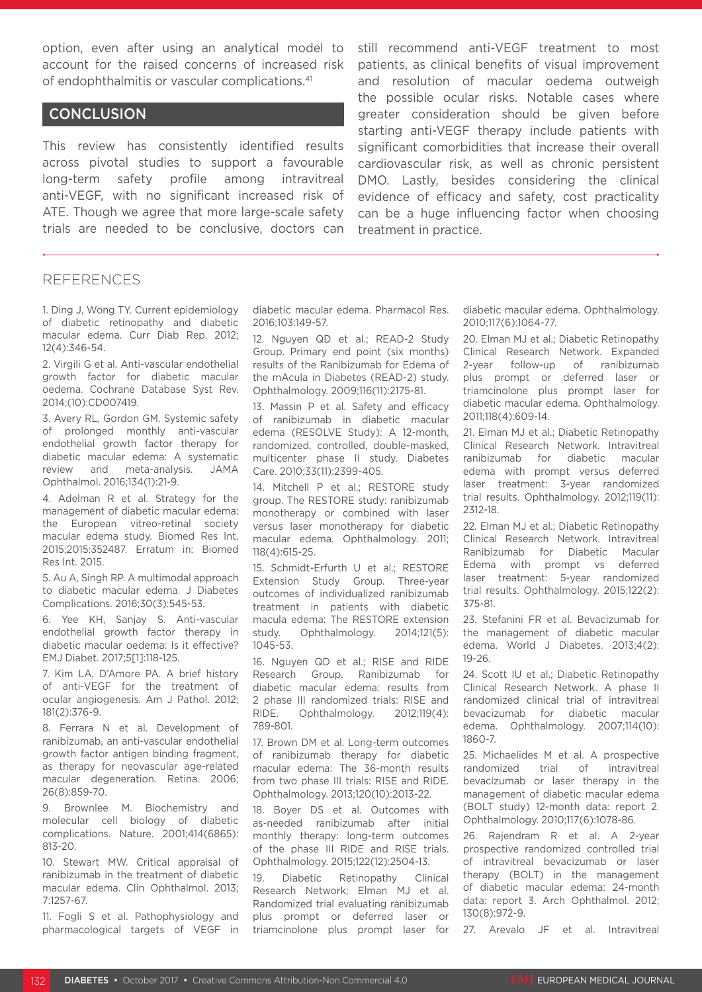option, even after using an analytical model to account for the raised concerns of increased risk of endophthalmitis or vascular complications.41

# **CONCLUSION**

This review has consistently identified results across pivotal studies to support a favourable long-term safety profile among intravitreal anti-VEGF, with no significant increased risk of ATE. Though we agree that more large-scale safety trials are needed to be conclusive, doctors can still recommend anti-VEGF treatment to most patients, as clinical benefits of visual improvement and resolution of macular oedema outweigh the possible ocular risks. Notable cases where greater consideration should be given before starting anti-VEGF therapy include patients with significant comorbidities that increase their overall cardiovascular risk, as well as chronic persistent DMO. Lastly, besides considering the clinical evidence of efficacy and safety, cost practicality can be a huge influencing factor when choosing treatment in practice.

## REFERENCES

1. Ding J, Wong TY. Current epidemiology of diabetic retinopathy and diabetic macular edema. Curr Diab Rep. 2012; 12(4):346-54.

2. Virgili G et al. Anti-vascular endothelial growth factor for diabetic macular oedema. Cochrane Database Syst Rev. 2014;(10):CD007419.

3. Avery RL, Gordon GM. Systemic safety of prolonged monthly anti-vascular endothelial growth factor therapy for diabetic macular edema: A systematic review and meta-analysis. JAMA Ophthalmol. 2016;134(1):21-9.

4. Adelman R et al. Strategy for the management of diabetic macular edema: the European vitreo-retinal society macular edema study. Biomed Res Int. 2015;2015:352487. Erratum in: Biomed Res Int. 2015.

5. Au A, Singh RP. A multimodal approach to diabetic macular edema. J Diabetes Complications. 2016;30(3):545-53.

6. Yee KH, Sanjay S. Anti-vascular endothelial growth factor therapy in diabetic macular oedema: Is it effective? EMJ Diabet. 2017;5[1]:118-125.

7. Kim LA, D'Amore PA. A brief history of anti-VEGF for the treatment of ocular angiogenesis. Am J Pathol. 2012; 181(2):376-9.

8. Ferrara N et al. Development of ranibizumab, an anti-vascular endothelial growth factor antigen binding fragment, as therapy for neovascular age-related macular degeneration. Retina. 2006; 26(8):859-70.

9. Brownlee M. Biochemistry and molecular cell biology of diabetic complications. Nature. 2001;414(6865): 813-20.

10. Stewart MW. Critical appraisal of ranibizumab in the treatment of diabetic macular edema. Clin Ophthalmol. 2013; 7:1257-67.

11. Fogli S et al. Pathophysiology and pharmacological targets of VEGF in diabetic macular edema. Pharmacol Res. 2016;103:149-57.

12. Nguyen QD et al.; READ-2 Study Group. Primary end point (six months) results of the Ranibizumab for Edema of the mAcula in Diabetes (READ-2) study. Ophthalmology. 2009;116(11):2175-81.

13. Massin P et al. Safety and efficacy of ranibizumab in diabetic macular edema (RESOLVE Study): A 12-month, randomized, controlled, double-masked, multicenter phase II study. Diabetes Care. 2010;33(11):2399-405.

14. Mitchell P et al.; RESTORE study group. The RESTORE study: ranibizumab monotherapy or combined with laser versus laser monotherapy for diabetic macular edema. Ophthalmology. 2011; 118(4):615-25.

15. Schmidt-Erfurth U et al.; RESTORE Extension Study Group. Three-year outcomes of individualized ranibizumab treatment in patients with diabetic macula edema: The RESTORE extension study. Ophthalmology. 2014;121(5): 1045-53.

16. Nguyen QD et al.; RISE and RIDE Research Group. Ranibizumab for diabetic macular edema: results from 2 phase III randomized trials: RISE and RIDE. Ophthalmology. 2012;119(4): 789-801.

17. Brown DM et al. Long-term outcomes of ranibizumab therapy for diabetic macular edema: The 36-month results from two phase III trials: RISE and RIDE. Ophthalmology. 2013;120(10):2013-22.

18. Boyer DS et al. Outcomes with as-needed ranibizumab after initial monthly therapy: long-term outcomes of the phase III RIDE and RISE trials. Ophthalmology. 2015;122(12):2504-13.

19. Diabetic Retinopathy Clinical Research Network; Elman MJ et al. Randomized trial evaluating ranibizumab plus prompt or deferred laser or triamcinolone plus prompt laser for diabetic macular edema. Ophthalmology. 2010;117(6):1064-77.

20. Elman MJ et al.; Diabetic Retinopathy Clinical Research Network. Expanded 2-year follow-up of ranibizumab plus prompt or deferred laser or triamcinolone plus prompt laser for diabetic macular edema. Ophthalmology. 2011;118(4):609-14.

21. Elman MJ et al.; Diabetic Retinopathy Clinical Research Network. Intravitreal ranibizumab for diabetic macular edema with prompt versus deferred laser treatment: 3-year randomized trial results. Ophthalmology. 2012;119(11): 2312-18.

22. Elman MJ et al.; Diabetic Retinopathy Clinical Research Network. Intravitreal Ranibizumab for Diabetic Macular Edema with prompt vs deferred laser treatment: 5-year randomized trial results. Ophthalmology. 2015;122(2): 375-81.

23. Stefanini FR et al. Bevacizumab for the management of diabetic macular edema. World J Diabetes. 2013;4(2): 19-26.

24. Scott IU et al.; Diabetic Retinopathy Clinical Research Network. A phase II randomized clinical trial of intravitreal bevacizumab for diabetic macular edema. Ophthalmology. 2007;114(10): 1860-7.

25. Michaelides M et al. A prospective randomized trial of intravitreal bevacizumab or laser therapy in the management of diabetic macular edema (BOLT study) 12-month data: report 2. Ophthalmology. 2010;117(6):1078-86.

26. Rajendram R et al. A 2-year prospective randomized controlled trial of intravitreal bevacizumab or laser therapy (BOLT) in the management of diabetic macular edema: 24-month data: report 3. Arch Ophthalmol. 2012; 130(8):972-9.

27. Arevalo JF et al. Intravitreal